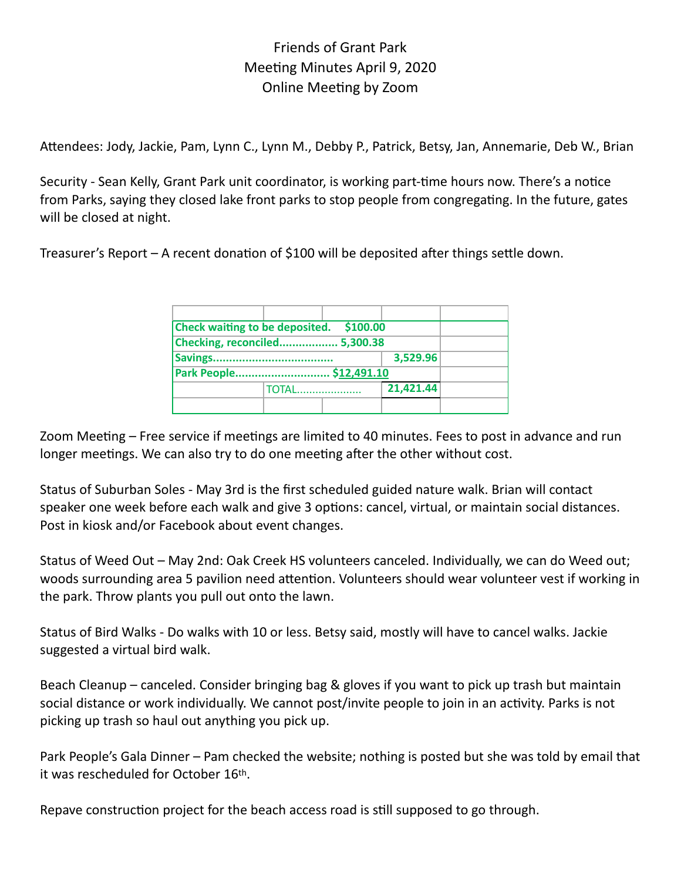## Friends of Grant Park Meeting Minutes April 9, 2020 Online Meeting by Zoom

Attendees: Jody, Jackie, Pam, Lynn C., Lynn M., Debby P., Patrick, Betsy, Jan, Annemarie, Deb W., Brian

Security - Sean Kelly, Grant Park unit coordinator, is working part-time hours now. There's a notice from Parks, saying they closed lake front parks to stop people from congregating. In the future, gates will be closed at night.

Treasurer's Report – A recent donation of \$100 will be deposited after things settle down.

| \$100.00<br><b>Check waiting to be deposited.</b> |              |  |           |  |
|---------------------------------------------------|--------------|--|-----------|--|
| Checking, reconciled 5,300.38                     |              |  |           |  |
|                                                   |              |  | 3,529.96  |  |
| Park People \$12,491.10                           |              |  |           |  |
|                                                   | <b>TOTAL</b> |  | 21,421.44 |  |
|                                                   |              |  |           |  |

Zoom Meeting – Free service if meetings are limited to 40 minutes. Fees to post in advance and run longer meetings. We can also try to do one meeting after the other without cost.

Status of Suburban Soles - May 3rd is the first scheduled guided nature walk. Brian will contact speaker one week before each walk and give 3 options: cancel, virtual, or maintain social distances. Post in kiosk and/or Facebook about event changes.

Status of Weed Out – May 2nd: Oak Creek HS volunteers canceled. Individually, we can do Weed out; woods surrounding area 5 pavilion need attention. Volunteers should wear volunteer vest if working in the park. Throw plants you pull out onto the lawn.

Status of Bird Walks - Do walks with 10 or less. Betsy said, mostly will have to cancel walks. Jackie suggested a virtual bird walk.

Beach Cleanup – canceled. Consider bringing bag & gloves if you want to pick up trash but maintain social distance or work individually. We cannot post/invite people to join in an activity. Parks is not picking up trash so haul out anything you pick up.

Park People's Gala Dinner – Pam checked the website; nothing is posted but she was told by email that it was rescheduled for October 16th.

Repave construction project for the beach access road is still supposed to go through.